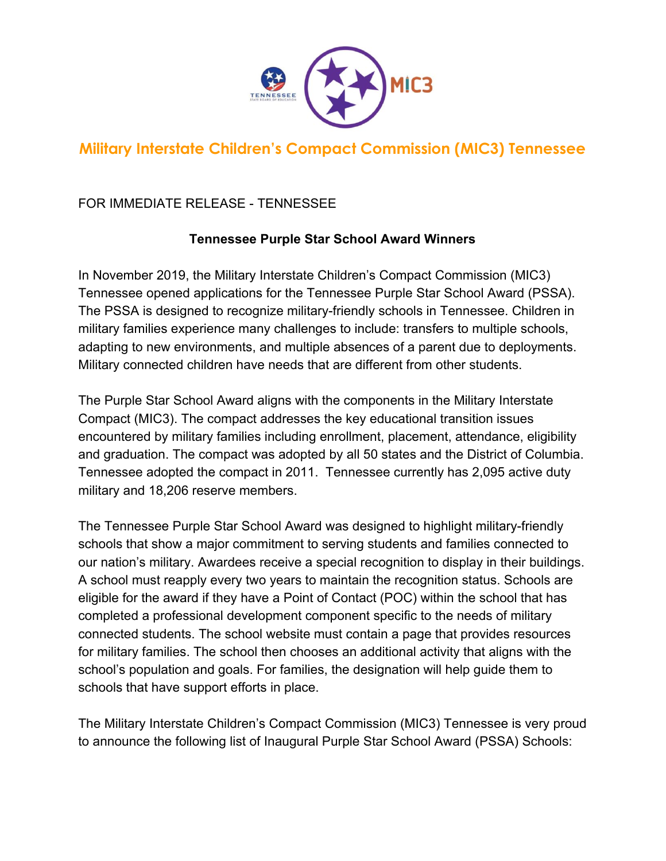

## **Military Interstate Children's Compact Commission (MIC3) Tennessee**

## FOR IMMEDIATE RELEASE - TENNESSEE

## **Tennessee Purple Star School Award Winners**

In November 2019, the Military Interstate Children's Compact Commission (MIC3) Tennessee opened applications for the Tennessee Purple Star School Award (PSSA). The PSSA is designed to recognize military-friendly schools in Tennessee. Children in military families experience many challenges to include: transfers to multiple schools, adapting to new environments, and multiple absences of a parent due to deployments. Military connected children have needs that are different from other students.

The Purple Star School Award aligns with the components in the Military Interstate Compact (MIC3). The compact addresses the key educational transition issues encountered by military families including enrollment, placement, attendance, eligibility and graduation. The compact was adopted by all 50 states and the District of Columbia. Tennessee adopted the compact in 2011. Tennessee currently has 2,095 active duty military and 18,206 reserve members.

The Tennessee Purple Star School Award was designed to highlight military-friendly schools that show a major commitment to serving students and families connected to our nation's military. Awardees receive a special recognition to display in their buildings. A school must reapply every two years to maintain the recognition status. Schools are eligible for the award if they have a Point of Contact (POC) within the school that has completed a professional development component specific to the needs of military connected students. The school website must contain a page that provides resources for military families. The school then chooses an additional activity that aligns with the school's population and goals. For families, the designation will help guide them to schools that have support efforts in place.

The Military Interstate Children's Compact Commission (MIC3) Tennessee is very proud to announce the following list of Inaugural Purple Star School Award (PSSA) Schools: